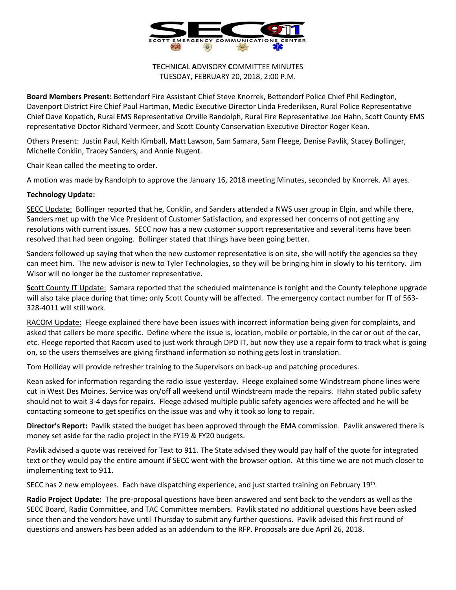

**T**ECHNICAL **A**DVISORY **C**OMMITTEE MINUTES TUESDAY, FEBRUARY 20, 2018, 2:00 P.M.

**Board Members Present:** Bettendorf Fire Assistant Chief Steve Knorrek, Bettendorf Police Chief Phil Redington, Davenport District Fire Chief Paul Hartman, Medic Executive Director Linda Frederiksen, Rural Police Representative Chief Dave Kopatich, Rural EMS Representative Orville Randolph, Rural Fire Representative Joe Hahn, Scott County EMS representative Doctor Richard Vermeer, and Scott County Conservation Executive Director Roger Kean.

Others Present: Justin Paul, Keith Kimball, Matt Lawson, Sam Samara, Sam Fleege, Denise Pavlik, Stacey Bollinger, Michelle Conklin, Tracey Sanders, and Annie Nugent.

Chair Kean called the meeting to order.

A motion was made by Randolph to approve the January 16, 2018 meeting Minutes, seconded by Knorrek. All ayes.

## **Technology Update:**

SECC Update: Bollinger reported that he, Conklin, and Sanders attended a NWS user group in Elgin, and while there, Sanders met up with the Vice President of Customer Satisfaction, and expressed her concerns of not getting any resolutions with current issues. SECC now has a new customer support representative and several items have been resolved that had been ongoing. Bollinger stated that things have been going better.

Sanders followed up saying that when the new customer representative is on site, she will notify the agencies so they can meet him. The new advisor is new to Tyler Technologies, so they will be bringing him in slowly to his territory. Jim Wisor will no longer be the customer representative.

**Sc**ott County IT Update: Samara reported that the scheduled maintenance is tonight and the County telephone upgrade will also take place during that time; only Scott County will be affected. The emergency contact number for IT of 563- 328-4011 will still work.

RACOM Update: Fleege explained there have been issues with incorrect information being given for complaints, and asked that callers be more specific. Define where the issue is, location, mobile or portable, in the car or out of the car, etc. Fleege reported that Racom used to just work through DPD IT, but now they use a repair form to track what is going on, so the users themselves are giving firsthand information so nothing gets lost in translation.

Tom Holliday will provide refresher training to the Supervisors on back-up and patching procedures.

Kean asked for information regarding the radio issue yesterday. Fleege explained some Windstream phone lines were cut in West Des Moines. Service was on/off all weekend until Windstream made the repairs. Hahn stated public safety should not to wait 3-4 days for repairs. Fleege advised multiple public safety agencies were affected and he will be contacting someone to get specifics on the issue was and why it took so long to repair.

**Director's Report:** Pavlik stated the budget has been approved through the EMA commission. Pavlik answered there is money set aside for the radio project in the FY19 & FY20 budgets.

Pavlik advised a quote was received for Text to 911. The State advised they would pay half of the quote for integrated text or they would pay the entire amount if SECC went with the browser option. At this time we are not much closer to implementing text to 911.

SECC has 2 new employees. Each have dispatching experience, and just started training on February 19th.

**Radio Project Update:** The pre-proposal questions have been answered and sent back to the vendors as well as the SECC Board, Radio Committee, and TAC Committee members. Pavlik stated no additional questions have been asked since then and the vendors have until Thursday to submit any further questions. Pavlik advised this first round of questions and answers has been added as an addendum to the RFP. Proposals are due April 26, 2018.